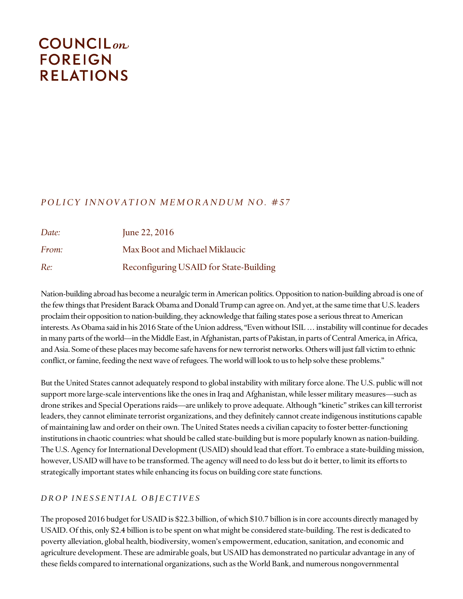# **COUNCIL**<sub>on</sub> **FOREIGN RELATIONS**

# *P O L I C Y I N N O V A T I O N M E M O R A N D U M N O . # 5 7*

| Date:        | June 22, $2016$                        |
|--------------|----------------------------------------|
| <i>From:</i> | Max Boot and Michael Miklaucic         |
| Re:          | Reconfiguring USAID for State-Building |

Nation-building abroad has become a neuralgic term in American politics. Opposition to nation-building abroad is one of the few things that President Barack Obama and Donald Trump can agree on. And yet, at the same time that U.S. leaders proclaim their opposition to nation-building, they acknowledge that failing states pose a serious threat to American interests. As Obama said in his 2016 State of the Union address, "Even without ISIL … instability will continue for decades in many parts of the world—in the Middle East, in Afghanistan, parts of Pakistan, in parts of Central America, in Africa, and Asia. Some of these places may become safe havens for new terrorist networks. Others will just fall victim to ethnic conflict, or famine, feeding the next wave of refugees. The world will look to us to help solve these problems."

But the United States cannot adequately respond to global instability with military force alone. The U.S. public will not support more large-scale interventions like the ones in Iraq and Afghanistan, while lesser military measures—such as drone strikes and Special Operations raids—are unlikely to prove adequate. Although "kinetic" strikes can kill terrorist leaders, they cannot eliminate terrorist organizations, and they definitely cannot create indigenous institutions capable of maintaining law and order on their own. The United States needs a civilian capacity to foster better-functioning institutions in chaotic countries: what should be called state-building but is more popularly known as nation-building. The U.S. Agency for International Development (USAID) should lead that effort. To embrace a state-building mission, however, USAID will have to be transformed. The agency will need to do less but do it better, to limit its efforts to strategically important states while enhancing its focus on building core state functions.

# *D R O P I N E S S E N T I A L O B J E C T I V E S*

The proposed 2016 budget for USAID is \$22.3 billion, of which \$10.7 billion is in core accounts directly managed by USAID. Of this, only \$2.4 billion is to be spent on what might be considered state-building. The rest is dedicated to poverty alleviation, global health, biodiversity, women's empowerment, education, sanitation, and economic and agriculture development. These are admirable goals, but USAID has demonstrated no particular advantage in any of these fields compared to international organizations, such as the World Bank, and numerous nongovernmental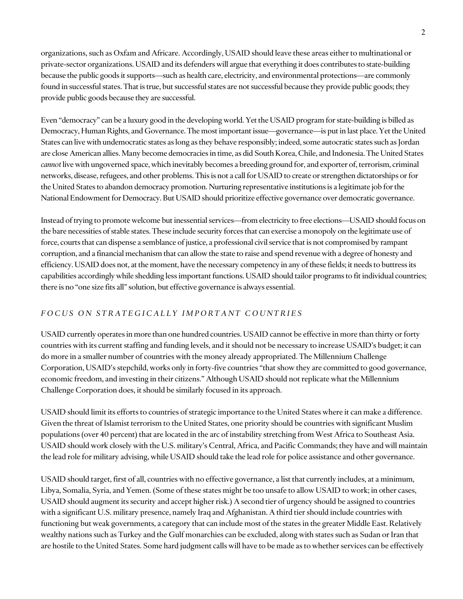organizations, such as Oxfam and Africare. Accordingly, USAID should leave these areas either to multinational or private-sector organizations. USAID and its defenders will argue that everything it does contributes to state-building because the public goods it supports—such as health care, electricity, and environmental protections—are commonly found in successful states. That is true, but successful states are not successful because they provide public goods; they provide public goods because they are successful.

Even "democracy" can be a luxury good in the developing world. Yet the USAID program for state-building is billed as Democracy, Human Rights, and Governance. The most important issue—governance—is put in last place. Yet the United States can live with undemocratic states as long as they behave responsibly; indeed, some autocratic states such as Jordan are close American allies. Many become democracies in time, as did South Korea, Chile, and Indonesia. The United States *cannot* live with ungoverned space, which inevitably becomes a breeding ground for, and exporter of, terrorism, criminal networks, disease, refugees, and other problems.This is not a call for USAID to create or strengthen dictatorships or for the United States to abandon democracy promotion. Nurturing representative institutions is a legitimate job for the National Endowment for Democracy. But USAID should prioritize effective governance over democratic governance.

Instead of trying to promote welcome but inessential services—from electricity to free elections—USAID should focus on the bare necessities of stable states. These include security forces that can exercise a monopoly on the legitimate use of force, courts that can dispense a semblance of justice, a professional civil service that is not compromised by rampant corruption, and a financial mechanism that can allow the state to raise and spend revenue with a degree of honesty and efficiency. USAID does not, at the moment, have the necessary competency in any of these fields; it needs to buttress its capabilities accordingly while shedding less important functions. USAID should tailor programs to fit individual countries; there is no "one size fits all" solution, but effective governance is always essential.

# *F O C U S O N S T R A T E G I C A L L Y I M P O R T A N T C O U N T R I E S*

USAID currently operates in more than one hundred countries. USAID cannot be effective in more than thirty or forty countries with its current staffing and funding levels, and it should not be necessary to increase USAID's budget; it can do more in a smaller number of countries with the money already appropriated. The Millennium Challenge Corporation, USAID's stepchild, works only in forty-five countries "that show they are committed to good governance, economic freedom, and investing in their citizens." Although USAID should not replicate what the Millennium Challenge Corporation does, it should be similarly focused in its approach.

USAID should limit its efforts to countries of strategic importance to the United States where it can make a difference. Given the threat of Islamist terrorism to the United States, one priority should be countries with significant Muslim populations (over 40 percent) that are located in the arc of instability stretching from West Africa to Southeast Asia. USAID should work closely with the U.S. military's Central, Africa, and Pacific Commands; they have and will maintain the lead role for military advising, while USAID should take the lead role for police assistance and other governance.

USAID should target, first of all, countries with no effective governance, a list that currently includes, at a minimum, Libya, Somalia, Syria, and Yemen. (Some of these states might be too unsafe to allow USAID to work; in other cases, USAID should augment its security and accept higher risk.) A second tier of urgency should be assigned to countries with a significant U.S. military presence, namely Iraq and Afghanistan. A third tier should include countries with functioning but weak governments, a category that can include most of the states in the greater Middle East. Relatively wealthy nations such as Turkey and the Gulf monarchies can be excluded, along with states such as Sudan or Iran that are hostile to the United States. Some hard judgment calls will have to be made as to whether services can be effectively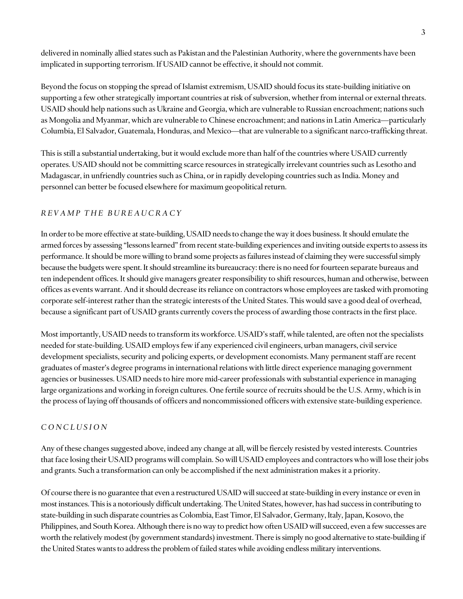delivered in nominally allied states such as Pakistan and the Palestinian Authority, where the governments have been implicated in supporting terrorism. If USAID cannot be effective, it should not commit.

Beyond the focus on stopping the spread of Islamist extremism, USAID should focus its state-building initiative on supporting a few other strategically important countries at risk of subversion, whether from internal or external threats. USAID should help nations such as Ukraine and Georgia, which are vulnerable to Russian encroachment; nations such as Mongolia and Myanmar, which are vulnerable to Chinese encroachment; and nations in Latin America—particularly Columbia, El Salvador, Guatemala, Honduras, and Mexico—that are vulnerable to a significant narco-trafficking threat.

This is still a substantial undertaking, but it would exclude more than half of the countries where USAID currently operates. USAID should not be committing scarce resources in strategically irrelevant countries such as Lesotho and Madagascar, in unfriendly countries such as China, or in rapidly developing countries such as India. Money and personnel can better be focused elsewhere for maximum geopolitical return.

### *R E V A M P T H E B U R E A U C R A C Y*

In order to be more effective at state-building, USAID needs to change the way it does business. It should emulate the armed forces by assessing "lessons learned" from recent state-building experiences and inviting outside experts to assess its performance. It should be more willing to brand some projects as failures instead of claiming they were successful simply because the budgets were spent. It should streamline its bureaucracy: there is no need for fourteen separate bureaus and ten independent offices. It should give managers greater responsibility to shift resources, human and otherwise, between offices as events warrant. And it should decrease its reliance on contractors whose employees are tasked with promoting corporate self-interest rather than the strategic interests of the United States. This would save a good deal of overhead, because a significant part of USAID grants currently covers the process of awarding those contracts in the first place.

Most importantly, USAID needs to transform its workforce. USAID's staff, while talented, are often not the specialists needed for state-building. USAID employs few if any experienced civil engineers, urban managers, civil service development specialists, security and policing experts, or development economists. Many permanent staff are recent graduates of master's degree programs in international relations with little direct experience managing government agencies or businesses. USAID needs to hire more mid-career professionals with substantial experience in managing large organizations and working in foreign cultures. One fertile source of recruits should be the U.S. Army, which is in the process of laying off thousands of officers and noncommissioned officers with extensive state-building experience.

### *C O N C L U S I O N*

Any of these changes suggested above, indeed any change at all, will be fiercely resisted by vested interests. Countries that face losing their USAID programs will complain. So will USAID employees and contractors who will lose their jobs and grants. Such a transformation can only be accomplished if the next administration makes it a priority.

Of course there is no guarantee that even a restructured USAID will succeed at state-building in every instance or even in most instances. This is a notoriously difficult undertaking. The United States, however, has had success in contributing to state-building in such disparate countries as Colombia, East Timor, El Salvador, Germany, Italy, Japan, Kosovo, the Philippines, and South Korea. Although there is no way to predict how often USAID will succeed, even a few successes are worth the relatively modest (by government standards) investment. There is simply no good alternative to state-building if the United States wants to address the problem of failed states while avoiding endless military interventions.